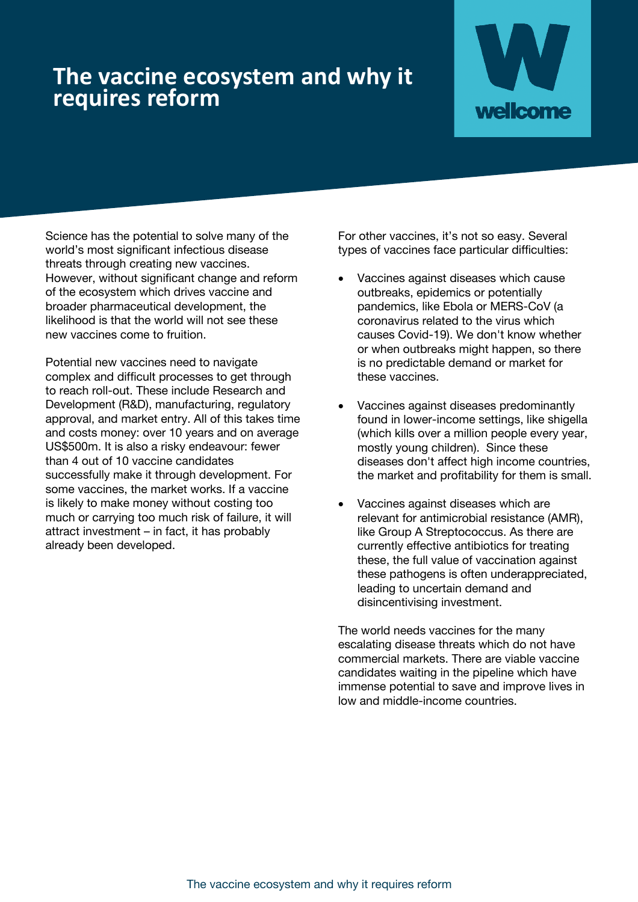# **The vaccine ecosystem and why it requires reform**



Science has the potential to solve many of the world's most significant infectious disease threats through creating new vaccines. However, without significant change and reform of the ecosystem which drives vaccine and broader pharmaceutical development, the likelihood is that the world will not see these new vaccines come to fruition.

Potential new vaccines need to navigate complex and difficult processes to get through to reach roll-out. These include Research and Development (R&D), manufacturing, regulatory approval, and market entry. All of this takes time and costs money: over 10 years and on average US\$500m. It is also a risky endeavour: fewer than 4 out of 10 vaccine candidates successfully make it through development. For some vaccines, the market works. If a vaccine is likely to make money without costing too much or carrying too much risk of failure, it will attract investment – in fact, it has probably already been developed.

For other vaccines, it's not so easy. Several types of vaccines face particular difficulties:

- Vaccines against diseases which cause outbreaks, epidemics or potentially pandemics, like Ebola or MERS-CoV (a coronavirus related to the virus which causes Covid-19). We don't know whether or when outbreaks might happen, so there is no predictable demand or market for these vaccines.
- Vaccines against diseases predominantly found in lower-income settings, like shigella (which kills over a million people every year, mostly young children). Since these diseases don't affect high income countries, the market and profitability for them is small.
- Vaccines against diseases which are relevant for antimicrobial resistance (AMR), like Group A Streptococcus. As there are currently effective antibiotics for treating these, the full value of vaccination against these pathogens is often underappreciated, leading to uncertain demand and disincentivising investment.

The world needs vaccines for the many escalating disease threats which do not have commercial markets. There are viable vaccine candidates waiting in the pipeline which have immense potential to save and improve lives in low and middle-income countries.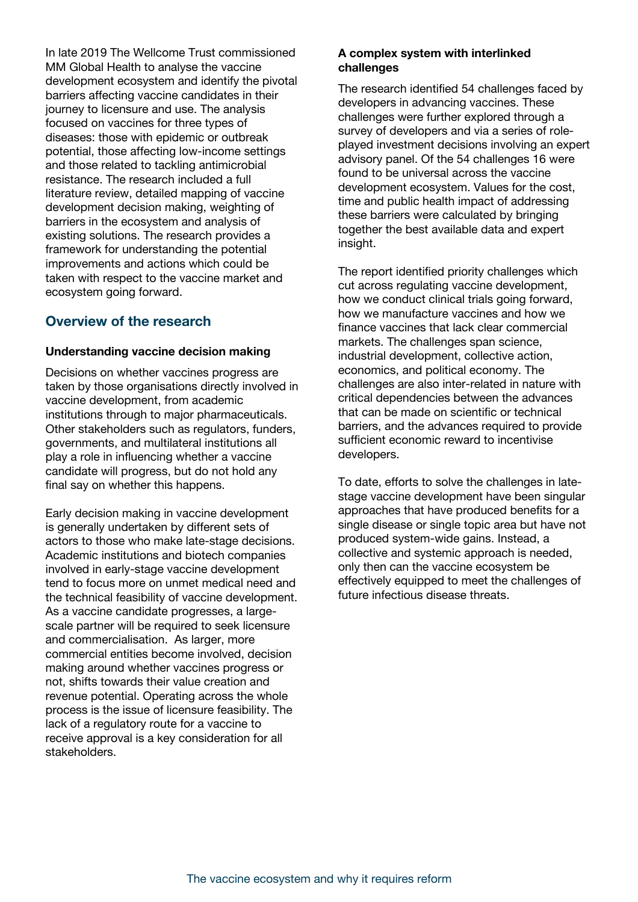In late 2019 The Wellcome Trust commissioned MM Global Health to analyse the vaccine development ecosystem and identify the pivotal barriers affecting vaccine candidates in their journey to licensure and use. The analysis focused on vaccines for three types of diseases: those with epidemic or outbreak potential, those affecting low-income settings and those related to tackling antimicrobial resistance. The research included a full literature review, detailed mapping of vaccine development decision making, weighting of barriers in the ecosystem and analysis of existing solutions. The research provides a framework for understanding the potential improvements and actions which could be taken with respect to the vaccine market and ecosystem going forward.

### **Overview of the research**

#### **Understanding vaccine decision making**

Decisions on whether vaccines progress are taken by those organisations directly involved in vaccine development, from academic institutions through to major pharmaceuticals. Other stakeholders such as regulators, funders, governments, and multilateral institutions all play a role in influencing whether a vaccine candidate will progress, but do not hold any final say on whether this happens.

Early decision making in vaccine development is generally undertaken by different sets of actors to those who make late-stage decisions. Academic institutions and biotech companies involved in early-stage vaccine development tend to focus more on unmet medical need and the technical feasibility of vaccine development. As a vaccine candidate progresses, a largescale partner will be required to seek licensure and commercialisation. As larger, more commercial entities become involved, decision making around whether vaccines progress or not, shifts towards their value creation and revenue potential. Operating across the whole process is the issue of licensure feasibility. The lack of a regulatory route for a vaccine to receive approval is a key consideration for all stakeholders.

#### **A complex system with interlinked challenges**

The research identified 54 challenges faced by developers in advancing vaccines. These challenges were further explored through a survey of developers and via a series of roleplayed investment decisions involving an expert advisory panel. Of the 54 challenges 16 were found to be universal across the vaccine development ecosystem. Values for the cost, time and public health impact of addressing these barriers were calculated by bringing together the best available data and expert insight.

The report identified priority challenges which cut across regulating vaccine development, how we conduct clinical trials going forward, how we manufacture vaccines and how we finance vaccines that lack clear commercial markets. The challenges span science, industrial development, collective action, economics, and political economy. The challenges are also inter-related in nature with critical dependencies between the advances that can be made on scientific or technical barriers, and the advances required to provide sufficient economic reward to incentivise developers.

To date, efforts to solve the challenges in latestage vaccine development have been singular approaches that have produced benefits for a single disease or single topic area but have not produced system-wide gains. Instead, a collective and systemic approach is needed, only then can the vaccine ecosystem be effectively equipped to meet the challenges of future infectious disease threats.